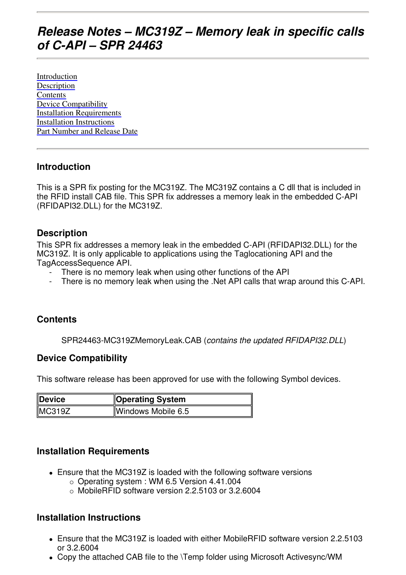# **Release Notes – MC319Z – Memory leak in specific calls of C-API – SPR 24463**

Introduction Description **Contents** Device Compatibility Installation Requirements Installation Instructions Part Number and Release Date

### **Introduction**

This is a SPR fix posting for the MC319Z. The MC319Z contains a C dll that is included in the RFID install CAB file. This SPR fix addresses a memory leak in the embedded C-API (RFIDAPI32.DLL) for the MC319Z.

#### **Description**

This SPR fix addresses a memory leak in the embedded C-API (RFIDAPI32.DLL) for the MC319Z. It is only applicable to applications using the Taglocationing API and the TagAccessSequence API.

- There is no memory leak when using other functions of the API
- There is no memory leak when using the .Net API calls that wrap around this C-API.

## **Contents**

SPR24463-MC319ZMemoryLeak.CAB (contains the updated RFIDAPI32.DLL)

#### **Device Compatibility**

This software release has been approved for use with the following Symbol devices.

| Device | <b>Operating System</b> |
|--------|-------------------------|
| MC319Z | Windows Mobile 6.5      |

#### **Installation Requirements**

- Ensure that the MC319Z is loaded with the following software versions
	- Operating system : WM 6.5 Version 4.41.004
	- MobileRFID software version 2.2.5103 or 3.2.6004

#### **Installation Instructions**

- Ensure that the MC319Z is loaded with either MobileRFID software version 2.2.5103 or 3.2.6004
- Copy the attached CAB file to the \Temp folder using Microsoft Activesync/WM